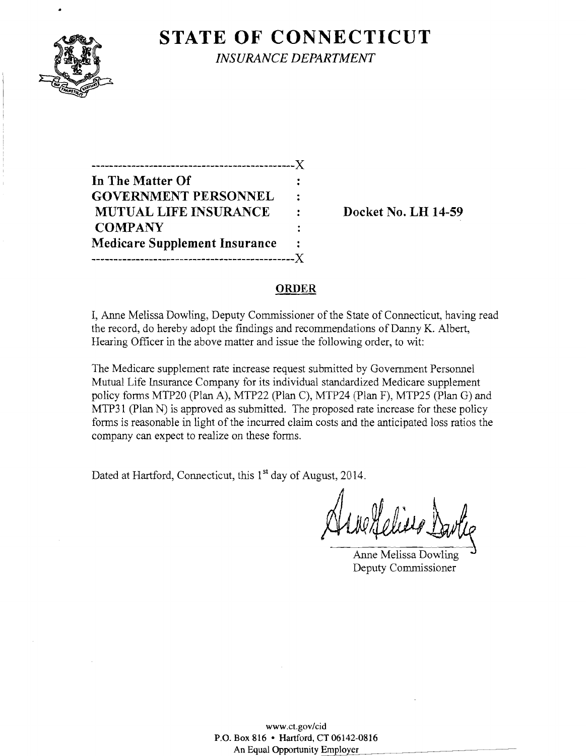

**STATE OF CONNECTICUT** *INSURANCE DEPARTMENT* 

| .________________________            |   |
|--------------------------------------|---|
| In The Matter Of                     |   |
| <b>GOVERNMENT PERSONNEL</b>          | ÷ |
| <b>MUTUAL LIFE INSURANCE</b>         |   |
| <b>COMPANY</b>                       |   |
| <b>Medicare Supplement Insurance</b> | ٠ |
|                                      |   |

Docket No. LH 14-59

#### ORDER

I, Anne Melissa Dowling, Deputy Commissioner of the State of Connecticut, having read the record, do hereby adopt the findings and recommendations of Danny K. Albert, Hearing Officer in the above matter and issue the following order, to wit:

The Medicare supplement rate increase request submitted by Government Personnel Mutual Life Insurance Company for its individual standardized Medicare supplement policy forms MTP20 (plan A), MTP22 (Plan C), MTP24 (Plan F), MTP25 (Plan G) and MTP31 (Plan N) is approved as submitted. The proposed rate increase for these policy forms is reasonable in light of the incurred claim costs and the anticipated loss ratios the company can expect to realize on these forms.

Dated at Hartford, Connecticut, this 1<sup>st</sup> day of August, 2014.

Anne Melissa Dowling Deputy Commissioner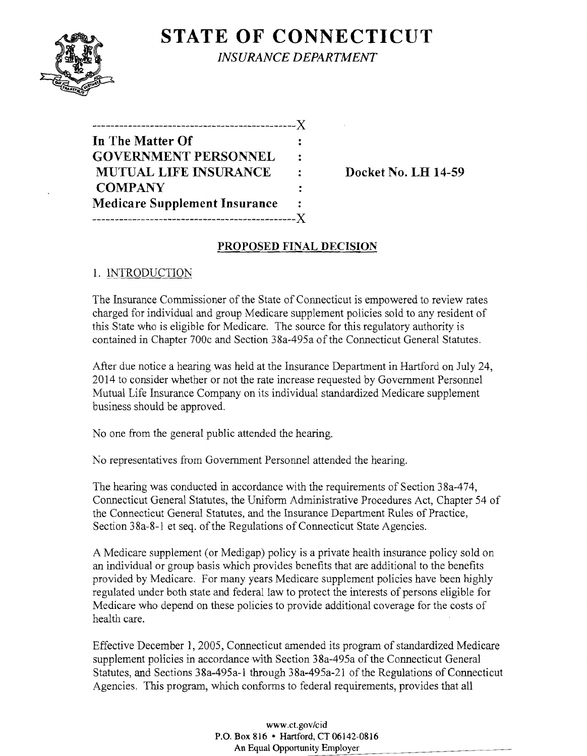

**STATE OF CONNECTICUT** *INSURANCE DEPARTMENT* 

| ---------------------------          |   |
|--------------------------------------|---|
| In The Matter Of                     |   |
| <b>GOVERNMENT PERSONNEL</b>          | ÷ |
| <b>MUTUAL LIFE INSURANCE</b>         | ٠ |
| <b>COMPANY</b>                       |   |
| <b>Medicare Supplement Insurance</b> |   |
|                                      |   |

Docket No. LH 14-59

# PROPOSED FINAL DECISION

### 1. INTRODUCTION

The Insurance Commissioner of the State of Connecticut is empowered to review rates charged for individual and group Medicare supplement policies sold to any resident of this State who is eligible for Medicare. The source for this regulatory authority is contained in Chapter 700c and Section 38a-495a of the Connecticut General Statutes.

After due notice a hearing was held at the Insurance Department in Hartford on July 24, 2014 to consider whether or not the rate increase requested by Government Personnel Mutual Life Insurance Company on its individual standardized Medicare supplement business should be approved.

No one from the general public attended the hearing.

No representatives from Government Personnel attended the hearing.

The hearing was conducted in accordance with the requirements of Section 38a-474, Connecticut General Statutes, the Uniform Administrative Procedures Act, Chapter 54 of the Connecticut General Statutes, and the Insurance Department Rules of Practice, Section 38a-8-1 et seq. of the Regulations of Connecticut State Agencies.

A Medicare supplement (or Medigap) policy is a private health insurance policy sold on an individual or group basis which provides benefits that are additional to the benefits provided by Medicare. For many years Medicare supplement policies have been highly regulated under both state and federal law to protect the interests of persons eligible for Medicare who depend on these policies to provide additional coverage for the costs of health care.

Effective December 1, 2005, Connecticut amended its program of standardized Medicare supplement policies in accordance with Section 38a-495a of the Connecticut General Statutes, and Sections 38a-495a-l through 38a-495a-21 of the Regulations of Connecticut Agencies. This program, which conforms to federal requirements, provides that all

> www.ct.gov/cid P.O. Box 816 • Hartford, CT 06142-0816 An Equal Opportunity Employer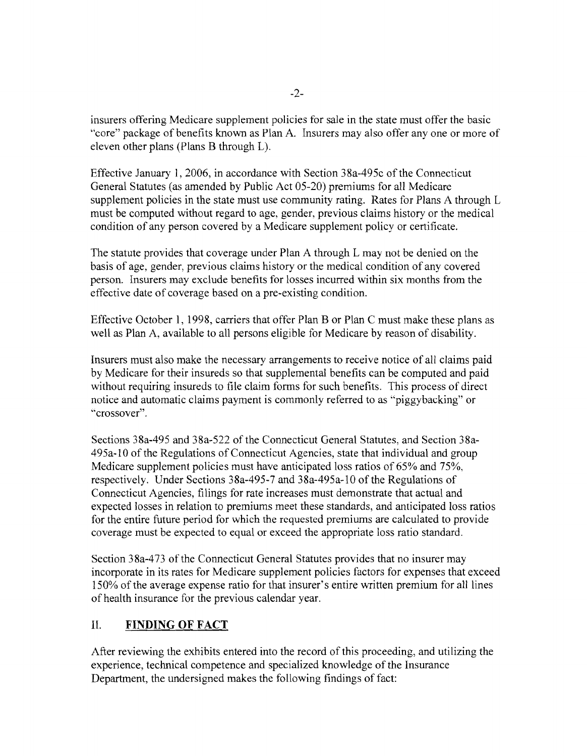insurers offering Medicare supplement policies for sale in the state must offer the basic "core" package of benefits known as Plan A. Insurers may also offer anyone or more of eleven other plans (Plans B through L).

Effective January 1,2006, in accordance with Section 38a-495c ofthe Connecticut General Statutes (as amended by Public Act 05-20) premiums for all Medicare supplement policies in the state must use community rating. Rates for Plans A through L must be computed without regard to age, gender, previous claims history or the medical condition of any person covered by a Medicare supplement policy or certificate.

The statute provides that coverage under Plan A through L may not be denied on the basis of age, gender, previous claims history or the medical condition of any covered person. Insurers may exclude benefits for losses incurred within six months from the effective date of coverage based on a pre-existing condition.

Effective October 1, 1998, carriers that offer Plan B or Plan C must make these plans as well as Plan A, available to all persons eligible for Medicare by reason of disability.

Insurers must also make the necessary arrangements to receive notice of all claims paid by Medicare for their insureds so that supplemental benefits can be computed and paid without requiring insureds to file claim forms for such benefits. This process of direct notice and automatic claims payment is commonly referred to as "piggybacking" or "crossover".

Sections 38a-495 and 38a-522 of the Connecticut General Statutes, and Section 38a-495a-10 ofthe Regulations ofConnecticut Agencies, state that individual and group Medicare supplement policies must have anticipated loss ratios of 65% and 75%, respectively. Under Sections 38a-495-7 and 38a-495a-10 of the Regulations of Connecticut Agencies, filings for rate increases must demonstrate that actual and expected losses in relation to premiums meet these standards, and anticipated loss ratios for the entire future period for which the requested premiums are calculated to provide coverage must be expected to equal or exceed the appropriate loss ratio standard.

Section 38a-473 of the Connecticut General Statutes provides that no insurer may incorporate in its rates for Medicare supplement policies factors for expenses that exceed 150% ofthe average expense ratio for that insurer's entire written premium for all lines of health insurance for the previous calendar year.

# II. **FINDING OF FACT**

After reviewing the exhibits entered into the record of this proceeding, and utilizing the experience, technical competence and specialized knowledge of the Insurance Department, the undersigned makes the following findings of fact: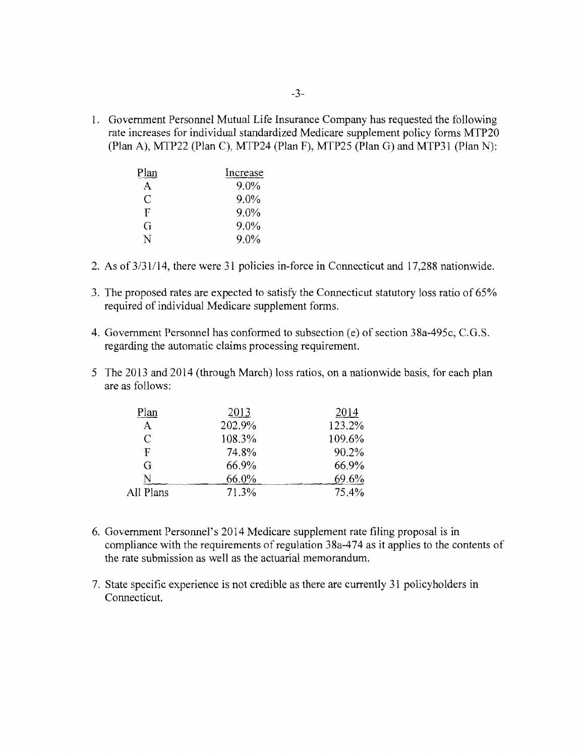1. Government Personnel Mutual Life Insurance Company has requested the following rate increases for individual standardized Medicare supplement policy forms MTP20 (Plan A), MTP22 (Plan C), MTP24 (Plan F), MTP25 (Plan G) and MTP31 (Plan N):

| Plan | Increase |
|------|----------|
| A    | 9.0%     |
| C    | $9.0\%$  |
| F    | 9.0%     |
| G    | 9.0%     |
| N    | $9.0\%$  |

- 2. As of3/31/14, there were 31 policies in-force in Connecticut and 17,288 nationwide.
- 3. The proposed rates are expected to satisfy the Connecticut statutory loss ratio of 65% required of individual Medicare supplement forms.
- 4. Government Personnel has conformed to subsection (e) of section 38a-495c, C.G.S. regarding the automatic claims processing requirement.
- 5 The 2013 and 2014 (through March) loss ratios, on a nationwide basis, for each plan are as follows:

| Plan         | 2013   | 2014   |
|--------------|--------|--------|
| $\mathbf{A}$ | 202.9% | 123.2% |
| C            | 108.3% | 109.6% |
| F            | 74.8%  | 90.2%  |
| G            | 66.9%  | 66.9%  |
| N            | 66.0%  | 69.6%  |
| All Plans    | 71.3%  | 75.4%  |
|              |        |        |

- 6. Government Personnel's 2014 Medicare supplement rate filing proposal is in compliance with the requirements of regulation 38a-474 as it applies to the contents of the rate submission as well as the actuarial memorandum.
- 7. State specific experience is not credible as there are currently 31 policyholders in Connecticut.